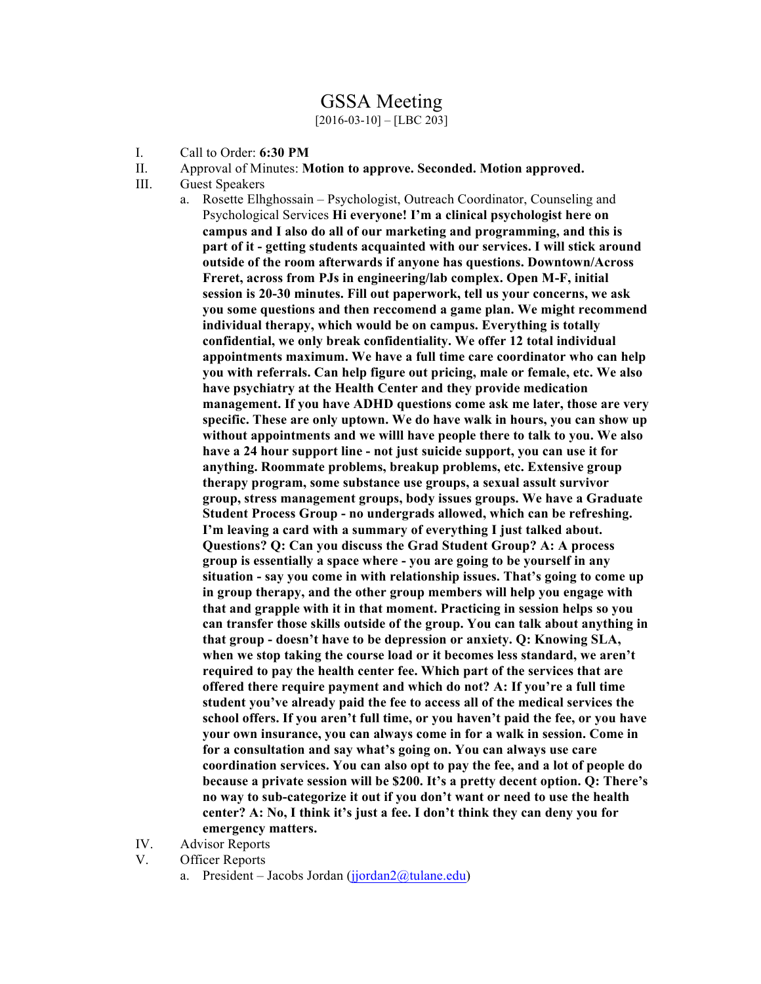## GSSA Meeting

 $[2016-03-10] - [LBC 203]$ 

- I. Call to Order: **6:30 PM**
- II. Approval of Minutes: **Motion to approve. Seconded. Motion approved.**
- III. Guest Speakers
	- a. Rosette Elhghossain Psychologist, Outreach Coordinator, Counseling and Psychological Services **Hi everyone! I'm a clinical psychologist here on campus and I also do all of our marketing and programming, and this is part of it - getting students acquainted with our services. I will stick around outside of the room afterwards if anyone has questions. Downtown/Across Freret, across from PJs in engineering/lab complex. Open M-F, initial session is 20-30 minutes. Fill out paperwork, tell us your concerns, we ask you some questions and then reccomend a game plan. We might recommend individual therapy, which would be on campus. Everything is totally confidential, we only break confidentiality. We offer 12 total individual appointments maximum. We have a full time care coordinator who can help you with referrals. Can help figure out pricing, male or female, etc. We also have psychiatry at the Health Center and they provide medication management. If you have ADHD questions come ask me later, those are very specific. These are only uptown. We do have walk in hours, you can show up without appointments and we willl have people there to talk to you. We also have a 24 hour support line - not just suicide support, you can use it for anything. Roommate problems, breakup problems, etc. Extensive group therapy program, some substance use groups, a sexual assult survivor group, stress management groups, body issues groups. We have a Graduate Student Process Group - no undergrads allowed, which can be refreshing. I'm leaving a card with a summary of everything I just talked about. Questions? Q: Can you discuss the Grad Student Group? A: A process group is essentially a space where - you are going to be yourself in any situation - say you come in with relationship issues. That's going to come up in group therapy, and the other group members will help you engage with that and grapple with it in that moment. Practicing in session helps so you can transfer those skills outside of the group. You can talk about anything in that group - doesn't have to be depression or anxiety. Q: Knowing SLA, when we stop taking the course load or it becomes less standard, we aren't required to pay the health center fee. Which part of the services that are offered there require payment and which do not? A: If you're a full time student you've already paid the fee to access all of the medical services the school offers. If you aren't full time, or you haven't paid the fee, or you have your own insurance, you can always come in for a walk in session. Come in for a consultation and say what's going on. You can always use care coordination services. You can also opt to pay the fee, and a lot of people do because a private session will be \$200. It's a pretty decent option. Q: There's no way to sub-categorize it out if you don't want or need to use the health center? A: No, I think it's just a fee. I don't think they can deny you for emergency matters.**
- IV. Advisor Reports
- V. Officer Reports
	- a. President Jacobs Jordan (jjordan $2\omega$ tulane.edu)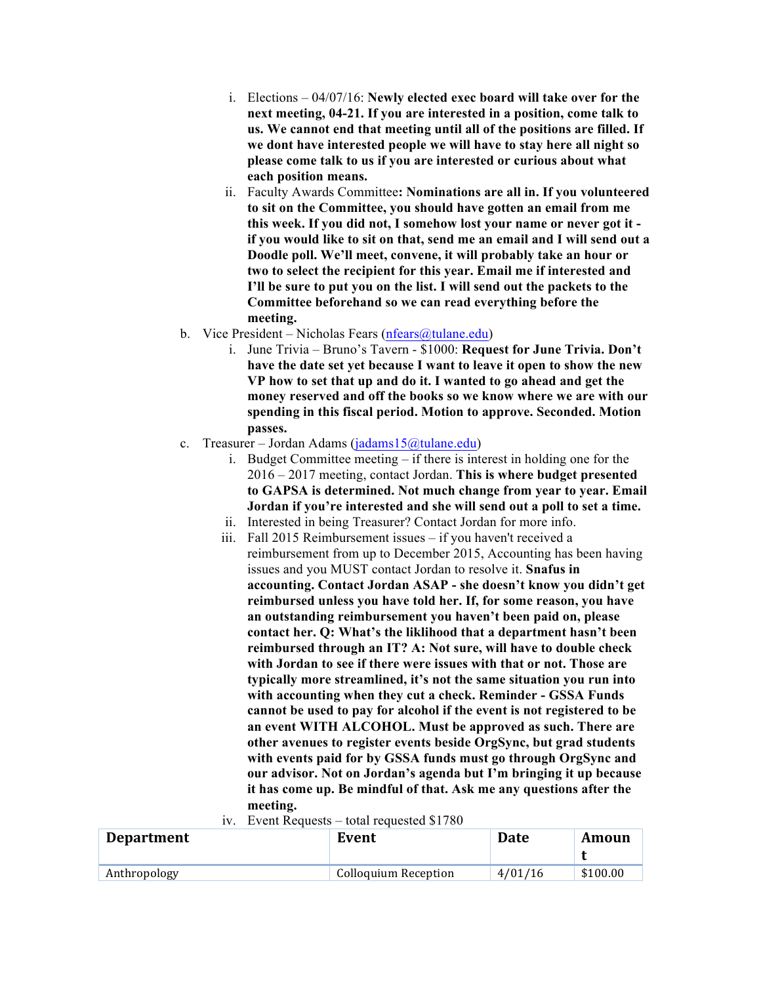- i. Elections 04/07/16: **Newly elected exec board will take over for the next meeting, 04-21. If you are interested in a position, come talk to us. We cannot end that meeting until all of the positions are filled. If we dont have interested people we will have to stay here all night so please come talk to us if you are interested or curious about what each position means.**
- ii. Faculty Awards Committee**: Nominations are all in. If you volunteered to sit on the Committee, you should have gotten an email from me this week. If you did not, I somehow lost your name or never got it if you would like to sit on that, send me an email and I will send out a Doodle poll. We'll meet, convene, it will probably take an hour or two to select the recipient for this year. Email me if interested and I'll be sure to put you on the list. I will send out the packets to the Committee beforehand so we can read everything before the meeting.**
- b. Vice President Nicholas Fears (nfears  $\omega$ tulane.edu)
	- i. June Trivia Bruno's Tavern \$1000: **Request for June Trivia. Don't have the date set yet because I want to leave it open to show the new VP how to set that up and do it. I wanted to go ahead and get the money reserved and off the books so we know where we are with our spending in this fiscal period. Motion to approve. Seconded. Motion passes.**
- c. Treasurer Jordan Adams (jadams15@tulane.edu)
	- i. Budget Committee meeting if there is interest in holding one for the 2016 – 2017 meeting, contact Jordan. **This is where budget presented to GAPSA is determined. Not much change from year to year. Email Jordan if you're interested and she will send out a poll to set a time.**
	- ii. Interested in being Treasurer? Contact Jordan for more info.
	- iii. Fall 2015 Reimbursement issues if you haven't received a reimbursement from up to December 2015, Accounting has been having issues and you MUST contact Jordan to resolve it. **Snafus in accounting. Contact Jordan ASAP - she doesn't know you didn't get reimbursed unless you have told her. If, for some reason, you have an outstanding reimbursement you haven't been paid on, please contact her. Q: What's the liklihood that a department hasn't been reimbursed through an IT? A: Not sure, will have to double check with Jordan to see if there were issues with that or not. Those are typically more streamlined, it's not the same situation you run into with accounting when they cut a check. Reminder - GSSA Funds cannot be used to pay for alcohol if the event is not registered to be an event WITH ALCOHOL. Must be approved as such. There are other avenues to register events beside OrgSync, but grad students with events paid for by GSSA funds must go through OrgSync and our advisor. Not on Jordan's agenda but I'm bringing it up because it has come up. Be mindful of that. Ask me any questions after the meeting.**

|  | iv. Event Requests – total requested \$1780 |  |  |  |
|--|---------------------------------------------|--|--|--|
|  |                                             |  |  |  |

| <b>Department</b> | Event                | <b>Date</b> | Amoun    |  |
|-------------------|----------------------|-------------|----------|--|
|                   |                      |             |          |  |
| Anthropology      | Colloquium Reception | 4/01/16     | \$100.00 |  |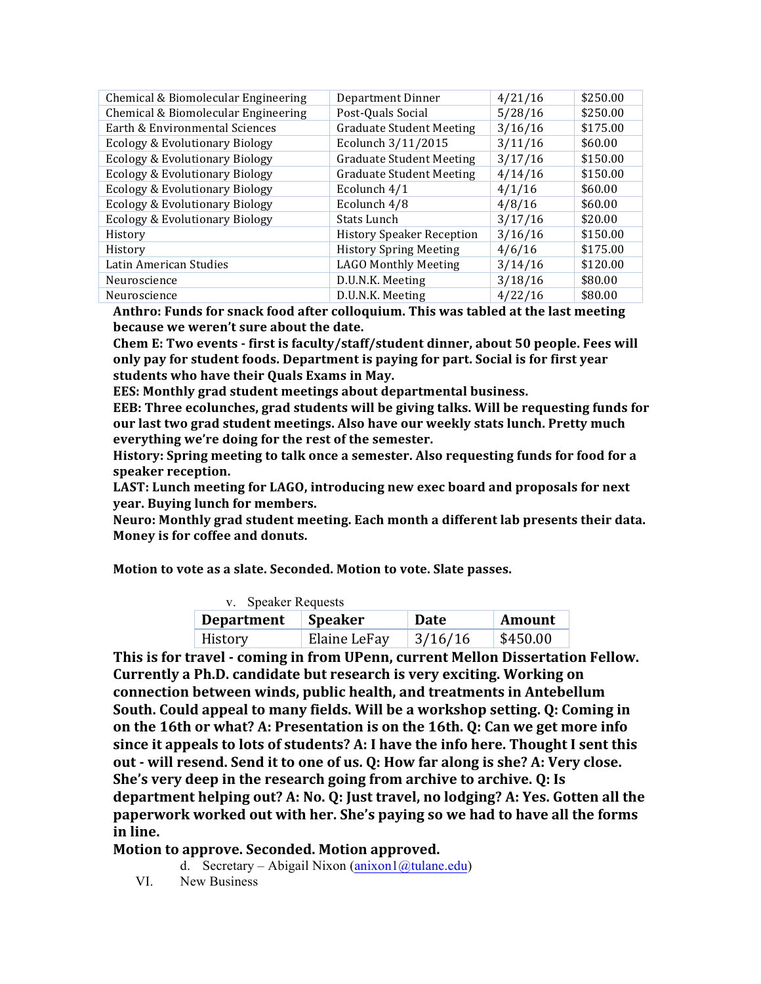| Chemical & Biomolecular Engineering | Department Dinner                | 4/21/16 | \$250.00 |
|-------------------------------------|----------------------------------|---------|----------|
| Chemical & Biomolecular Engineering | Post-Quals Social                | 5/28/16 | \$250.00 |
| Earth & Environmental Sciences      | <b>Graduate Student Meeting</b>  | 3/16/16 | \$175.00 |
| Ecology & Evolutionary Biology      | Ecolunch 3/11/2015               | 3/11/16 | \$60.00  |
| Ecology & Evolutionary Biology      | <b>Graduate Student Meeting</b>  | 3/17/16 | \$150.00 |
| Ecology & Evolutionary Biology      | <b>Graduate Student Meeting</b>  | 4/14/16 | \$150.00 |
| Ecology & Evolutionary Biology      | Ecolunch 4/1                     | 4/1/16  | \$60.00  |
| Ecology & Evolutionary Biology      | Ecolunch 4/8                     | 4/8/16  | \$60.00  |
| Ecology & Evolutionary Biology      | Stats Lunch                      | 3/17/16 | \$20.00  |
| History                             | <b>History Speaker Reception</b> | 3/16/16 | \$150.00 |
| History                             | <b>History Spring Meeting</b>    | 4/6/16  | \$175.00 |
| Latin American Studies              | <b>LAGO Monthly Meeting</b>      | 3/14/16 | \$120.00 |
| Neuroscience                        | D.U.N.K. Meeting                 | 3/18/16 | \$80.00  |
| Neuroscience                        | D.U.N.K. Meeting                 | 4/22/16 | \$80.00  |

Anthro: Funds for snack food after colloquium. This was tabled at the last meeting because we weren't sure about the date.

Chem E: Two events - first is faculty/staff/student dinner, about 50 people. Fees will only pay for student foods. Department is paying for part. Social is for first year students who have their Quals Exams in May.

**EES:** Monthly grad student meetings about departmental business.

EEB: Three ecolunches, grad students will be giving talks. Will be requesting funds for our last two grad student meetings. Also have our weekly stats lunch. Pretty much everything we're doing for the rest of the semester.

**History: Spring meeting to talk once a semester. Also requesting funds for food for a speaker reception.**

**LAST: Lunch meeting for LAGO, introducing new exec board and proposals for next year.** Buying lunch for members.

**Neuro:** Monthly grad student meeting. Each month a different lab presents their data. **Money is for coffee and donuts.** 

**Motion to vote as a slate. Seconded. Motion to vote. Slate passes.** 

| v. Speaker Requests |              |             |               |  |
|---------------------|--------------|-------------|---------------|--|
| Department          | Speaker      | <b>Date</b> | <b>Amount</b> |  |
| History             | Elaine LeFay | 3/16/16     | \$450.00      |  |

**This is for travel - coming in from UPenn, current Mellon Dissertation Fellow. Currently a Ph.D. candidate but research is very exciting. Working on connection between winds, public health, and treatments in Antebellum South.** Could appeal to many fields. Will be a workshop setting. Q: Coming in **on the 16th or what? A: Presentation is on the 16th. O: Can we get more info** since it appeals to lots of students? A: I have the info here. Thought I sent this **out** - will resend. Send it to one of us. Q: How far along is she? A: Very close. **She's very deep in the research going from archive to archive. Q: Is** department helping out? A: No. Q: Just travel, no lodging? A: Yes. Gotten all the **paperwork worked out with her. She's paying so we had to have all the forms in line.** 

## **Motion to approve. Seconded. Motion approved.**

d. Secretary – Abigail Nixon (anixon1@tulane.edu)

VI. New Business